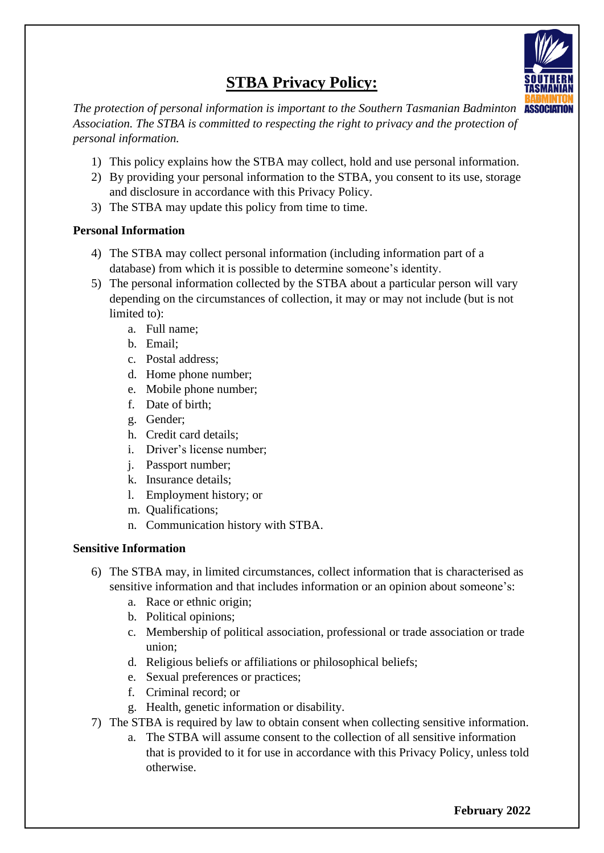

# **STBA Privacy Policy:**

*The protection of personal information is important to the Southern Tasmanian Badminton Association. The STBA is committed to respecting the right to privacy and the protection of personal information.* 

- 1) This policy explains how the STBA may collect, hold and use personal information.
- 2) By providing your personal information to the STBA, you consent to its use, storage and disclosure in accordance with this Privacy Policy.
- 3) The STBA may update this policy from time to time.

## **Personal Information**

- 4) The STBA may collect personal information (including information part of a database) from which it is possible to determine someone's identity.
- 5) The personal information collected by the STBA about a particular person will vary depending on the circumstances of collection, it may or may not include (but is not limited to):
	- a. Full name;
	- b. Email;
	- c. Postal address;
	- d. Home phone number;
	- e. Mobile phone number;
	- f. Date of birth;
	- g. Gender;
	- h. Credit card details;
	- i. Driver's license number;
	- j. Passport number;
	- k. Insurance details;
	- l. Employment history; or
	- m. Qualifications;
	- n. Communication history with STBA.

## **Sensitive Information**

- 6) The STBA may, in limited circumstances, collect information that is characterised as sensitive information and that includes information or an opinion about someone's:
	- a. Race or ethnic origin;
	- b. Political opinions;
	- c. Membership of political association, professional or trade association or trade union;
	- d. Religious beliefs or affiliations or philosophical beliefs;
	- e. Sexual preferences or practices;
	- f. Criminal record; or
	- g. Health, genetic information or disability.
- 7) The STBA is required by law to obtain consent when collecting sensitive information.
	- a. The STBA will assume consent to the collection of all sensitive information that is provided to it for use in accordance with this Privacy Policy, unless told otherwise.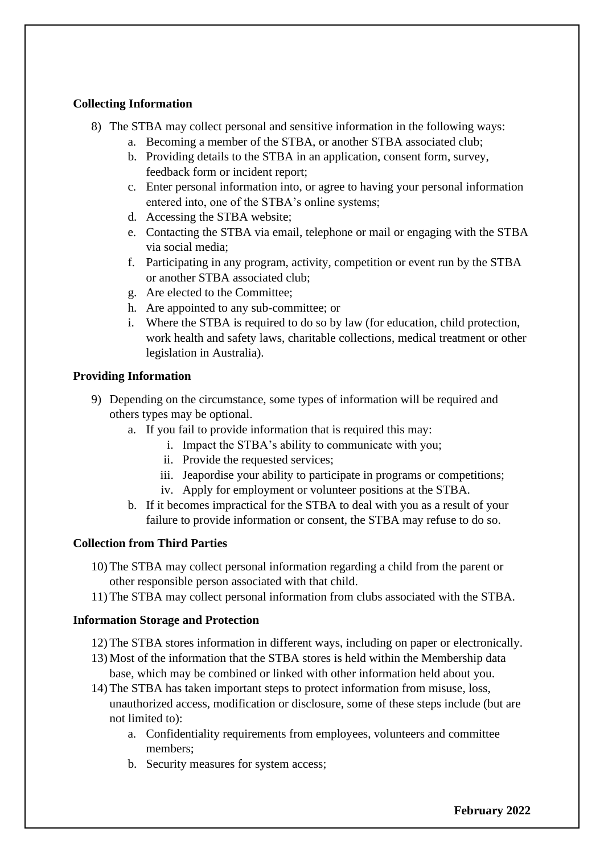## **Collecting Information**

- 8) The STBA may collect personal and sensitive information in the following ways:
	- a. Becoming a member of the STBA, or another STBA associated club;
	- b. Providing details to the STBA in an application, consent form, survey, feedback form or incident report;
	- c. Enter personal information into, or agree to having your personal information entered into, one of the STBA's online systems;
	- d. Accessing the STBA website;
	- e. Contacting the STBA via email, telephone or mail or engaging with the STBA via social media;
	- f. Participating in any program, activity, competition or event run by the STBA or another STBA associated club;
	- g. Are elected to the Committee;
	- h. Are appointed to any sub-committee; or
	- i. Where the STBA is required to do so by law (for education, child protection, work health and safety laws, charitable collections, medical treatment or other legislation in Australia).

## **Providing Information**

- 9) Depending on the circumstance, some types of information will be required and others types may be optional.
	- a. If you fail to provide information that is required this may:
		- i. Impact the STBA's ability to communicate with you;
		- ii. Provide the requested services;
		- iii. Jeapordise your ability to participate in programs or competitions;
		- iv. Apply for employment or volunteer positions at the STBA.
	- b. If it becomes impractical for the STBA to deal with you as a result of your failure to provide information or consent, the STBA may refuse to do so.

#### **Collection from Third Parties**

- 10) The STBA may collect personal information regarding a child from the parent or other responsible person associated with that child.
- 11) The STBA may collect personal information from clubs associated with the STBA.

#### **Information Storage and Protection**

- 12) The STBA stores information in different ways, including on paper or electronically.
- 13) Most of the information that the STBA stores is held within the Membership data base, which may be combined or linked with other information held about you.
- 14) The STBA has taken important steps to protect information from misuse, loss, unauthorized access, modification or disclosure, some of these steps include (but are not limited to):
	- a. Confidentiality requirements from employees, volunteers and committee members;
	- b. Security measures for system access;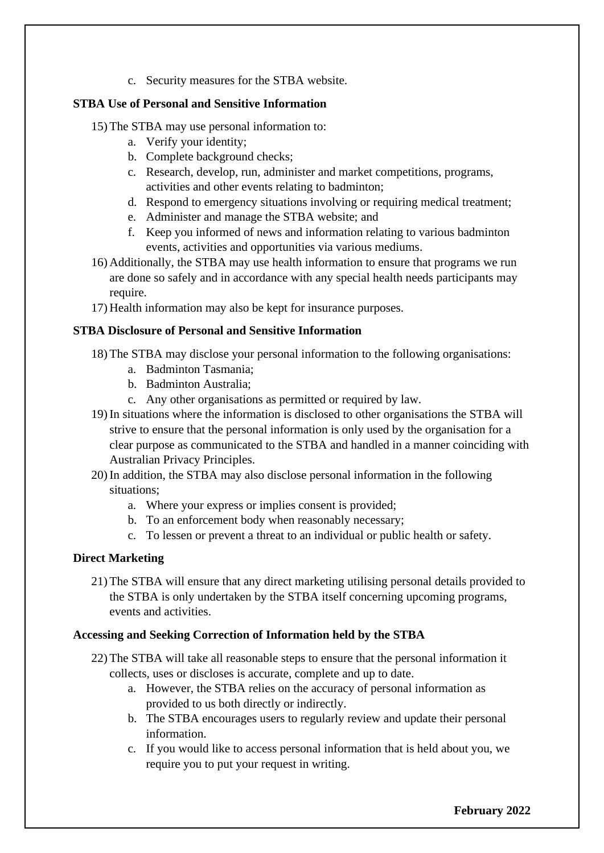c. Security measures for the STBA website.

## **STBA Use of Personal and Sensitive Information**

- 15) The STBA may use personal information to:
	- a. Verify your identity;
	- b. Complete background checks;
	- c. Research, develop, run, administer and market competitions, programs, activities and other events relating to badminton;
	- d. Respond to emergency situations involving or requiring medical treatment;
	- e. Administer and manage the STBA website; and
	- f. Keep you informed of news and information relating to various badminton events, activities and opportunities via various mediums.
- 16) Additionally, the STBA may use health information to ensure that programs we run are done so safely and in accordance with any special health needs participants may require.
- 17) Health information may also be kept for insurance purposes.

## **STBA Disclosure of Personal and Sensitive Information**

- 18) The STBA may disclose your personal information to the following organisations:
	- a. Badminton Tasmania;
	- b. Badminton Australia;
	- c. Any other organisations as permitted or required by law.
- 19) In situations where the information is disclosed to other organisations the STBA will strive to ensure that the personal information is only used by the organisation for a clear purpose as communicated to the STBA and handled in a manner coinciding with Australian Privacy Principles.
- 20) In addition, the STBA may also disclose personal information in the following situations;
	- a. Where your express or implies consent is provided;
	- b. To an enforcement body when reasonably necessary;
	- c. To lessen or prevent a threat to an individual or public health or safety.

## **Direct Marketing**

21) The STBA will ensure that any direct marketing utilising personal details provided to the STBA is only undertaken by the STBA itself concerning upcoming programs, events and activities.

## **Accessing and Seeking Correction of Information held by the STBA**

- 22) The STBA will take all reasonable steps to ensure that the personal information it collects, uses or discloses is accurate, complete and up to date.
	- a. However, the STBA relies on the accuracy of personal information as provided to us both directly or indirectly.
	- b. The STBA encourages users to regularly review and update their personal information.
	- c. If you would like to access personal information that is held about you, we require you to put your request in writing.